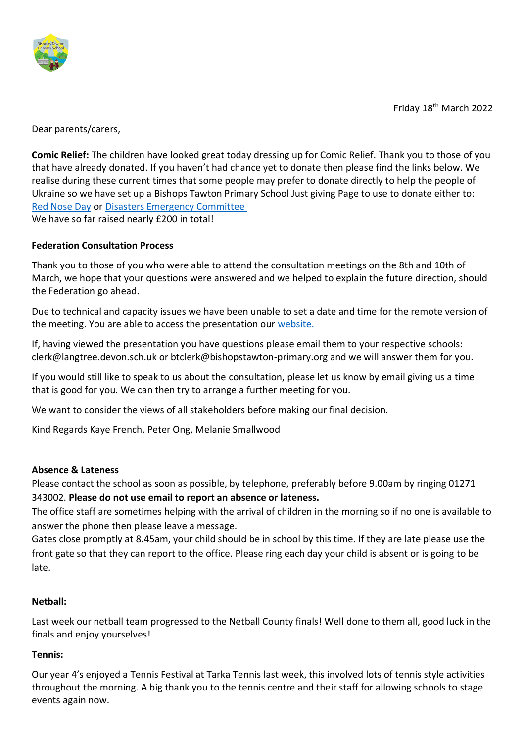

Friday 18th March 2022

Dear parents/carers,

**Comic Relief:** The children have looked great today dressing up for Comic Relief. Thank you to those of you that have already donated. If you haven't had chance yet to donate then please find the links below. We realise during these current times that some people may prefer to donate directly to help the people of Ukraine so we have set up a Bishops Tawton Primary School Just giving Page to use to donate either to: [Red Nose Day](https://www.justgiving.com/fundraising/bishops-tawton-primary-school7) or [Disasters Emergency Committee](https://www.justgiving.com/fundraising/bishops-tawton-primary-school8) We have so far raised nearly £200 in total!

## **Federation Consultation Process**

Thank you to those of you who were able to attend the consultation meetings on the 8th and 10th of March, we hope that your questions were answered and we helped to explain the future direction, should the Federation go ahead.

Due to technical and capacity issues we have been unable to set a date and time for the remote version of the meeting. You are able to access the presentation our [website.](https://bishops-tawton.eschools.co.uk/web/federation_consultation/597599)

If, having viewed the presentation you have questions please email them to your respective schools: clerk@langtree.devon.sch.uk or btclerk@bishopstawton-primary.org and we will answer them for you.

If you would still like to speak to us about the consultation, please let us know by email giving us a time that is good for you. We can then try to arrange a further meeting for you.

We want to consider the views of all stakeholders before making our final decision.

Kind Regards Kaye French, Peter Ong, Melanie Smallwood

### **Absence & Lateness**

Please contact the school as soon as possible, by telephone, preferably before 9.00am by ringing 01271 343002. **Please do not use email to report an absence or lateness.** 

The office staff are sometimes helping with the arrival of children in the morning so if no one is available to answer the phone then please leave a message.

Gates close promptly at 8.45am, your child should be in school by this time. If they are late please use the front gate so that they can report to the office. Please ring each day your child is absent or is going to be late.

### **Netball:**

Last week our netball team progressed to the Netball County finals! Well done to them all, good luck in the finals and enjoy yourselves!

### **Tennis:**

Our year 4's enjoyed a Tennis Festival at Tarka Tennis last week, this involved lots of tennis style activities throughout the morning. A big thank you to the tennis centre and their staff for allowing schools to stage events again now.